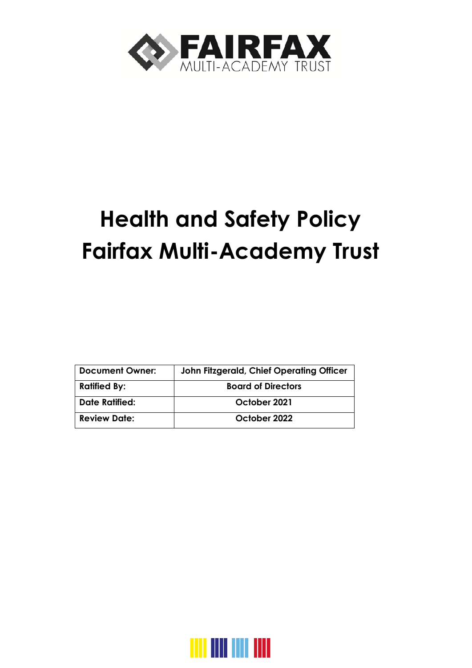

# **Health and Safety Policy Fairfax Multi-Academy Trust**

| <b>Document Owner:</b> | John Fitzgerald, Chief Operating Officer |  |
|------------------------|------------------------------------------|--|
| <b>Ratified By:</b>    | <b>Board of Directors</b>                |  |
| <b>Date Ratified:</b>  | October 2021                             |  |
| <b>Review Date:</b>    | October 2022                             |  |

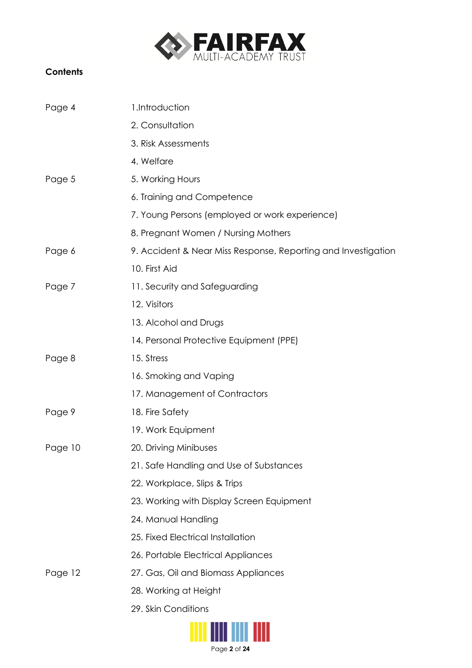

## **Contents**

| Page 4  | 1.Introduction                                                |
|---------|---------------------------------------------------------------|
|         | 2. Consultation                                               |
|         | 3. Risk Assessments                                           |
|         | 4. Welfare                                                    |
| Page 5  | 5. Working Hours                                              |
|         | 6. Training and Competence                                    |
|         | 7. Young Persons (employed or work experience)                |
|         | 8. Pregnant Women / Nursing Mothers                           |
| Page 6  | 9. Accident & Near Miss Response, Reporting and Investigation |
|         | 10. First Aid                                                 |
| Page 7  | 11. Security and Safeguarding                                 |
|         | 12. Visitors                                                  |
|         | 13. Alcohol and Drugs                                         |
|         | 14. Personal Protective Equipment (PPE)                       |
| Page 8  | 15. Stress                                                    |
|         | 16. Smoking and Vaping                                        |
|         | 17. Management of Contractors                                 |
| Page 9  | 18. Fire Safety                                               |
|         | 19. Work Equipment                                            |
| Page 10 | 20. Driving Minibuses                                         |
|         | 21. Safe Handling and Use of Substances                       |
|         | 22. Workplace, Slips & Trips                                  |
|         | 23. Working with Display Screen Equipment                     |
|         | 24. Manual Handling                                           |
|         | 25. Fixed Electrical Installation                             |
|         | 26. Portable Electrical Appliances                            |
| Page 12 | 27. Gas, Oil and Biomass Appliances                           |
|         | 28. Working at Height                                         |
|         | 29. Skin Conditions                                           |

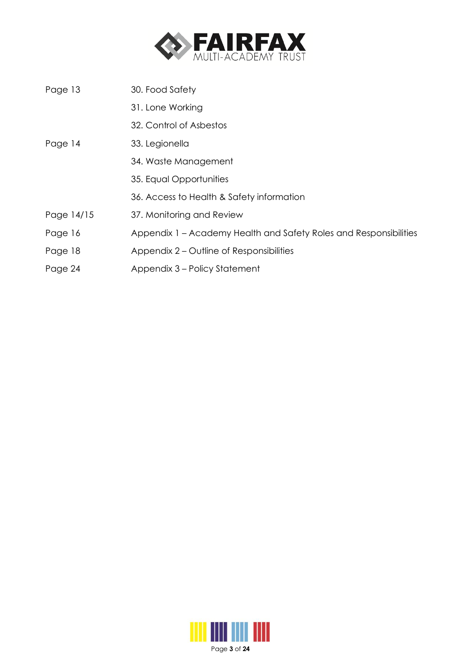

| 30. Food Safety                                                   |
|-------------------------------------------------------------------|
| 31. Lone Working                                                  |
| 32. Control of Asbestos                                           |
| 33. Legionella                                                    |
| 34. Waste Management                                              |
| 35. Equal Opportunities                                           |
| 36. Access to Health & Safety information                         |
| 37. Monitoring and Review                                         |
| Appendix 1 – Academy Health and Safety Roles and Responsibilities |
| Appendix 2 – Outline of Responsibilities                          |
| Appendix 3 – Policy Statement                                     |
|                                                                   |

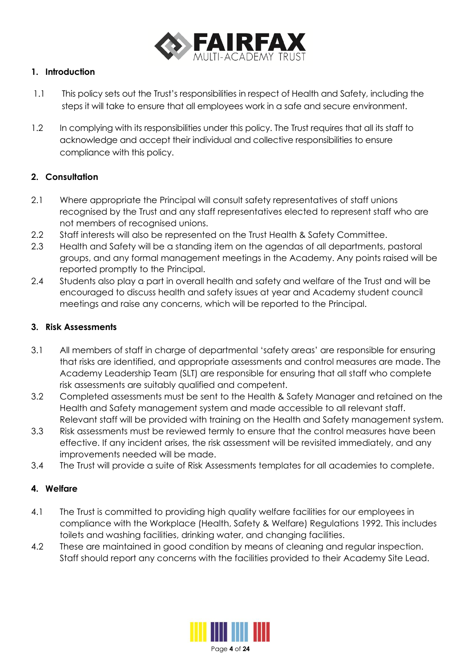

## **1. Introduction**

- 1.1 This policy sets out the Trust's responsibilities in respect of Health and Safety, including the steps it will take to ensure that all employees work in a safe and secure environment.
- 1.2 In complying with its responsibilities under this policy. The Trust requires that all its staff to acknowledge and accept their individual and collective responsibilities to ensure compliance with this policy.

## **2. Consultation**

- 2.1 Where appropriate the Principal will consult safety representatives of staff unions recognised by the Trust and any staff representatives elected to represent staff who are not members of recognised unions.
- 2.2 Staff interests will also be represented on the Trust Health & Safety Committee.
- 2.3 Health and Safety will be a standing item on the agendas of all departments, pastoral groups, and any formal management meetings in the Academy. Any points raised will be reported promptly to the Principal.
- 2.4 Students also play a part in overall health and safety and welfare of the Trust and will be encouraged to discuss health and safety issues at year and Academy student council meetings and raise any concerns, which will be reported to the Principal.

## **3. Risk Assessments**

- 3.1 All members of staff in charge of departmental 'safety areas' are responsible for ensuring that risks are identified, and appropriate assessments and control measures are made. The Academy Leadership Team (SLT) are responsible for ensuring that all staff who complete risk assessments are suitably qualified and competent.
- 3.2 Completed assessments must be sent to the Health & Safety Manager and retained on the Health and Safety management system and made accessible to all relevant staff. Relevant staff will be provided with training on the Health and Safety management system.
- 3.3 Risk assessments must be reviewed termly to ensure that the control measures have been effective. If any incident arises, the risk assessment will be revisited immediately, and any improvements needed will be made.
- 3.4 The Trust will provide a suite of Risk Assessments templates for all academies to complete.

# **4. Welfare**

- 4.1 The Trust is committed to providing high quality welfare facilities for our employees in compliance with the Workplace (Health, Safety & Welfare) Regulations 1992. This includes toilets and washing facilities, drinking water, and changing facilities.
- 4.2 These are maintained in good condition by means of cleaning and regular inspection. Staff should report any concerns with the facilities provided to their Academy Site Lead.

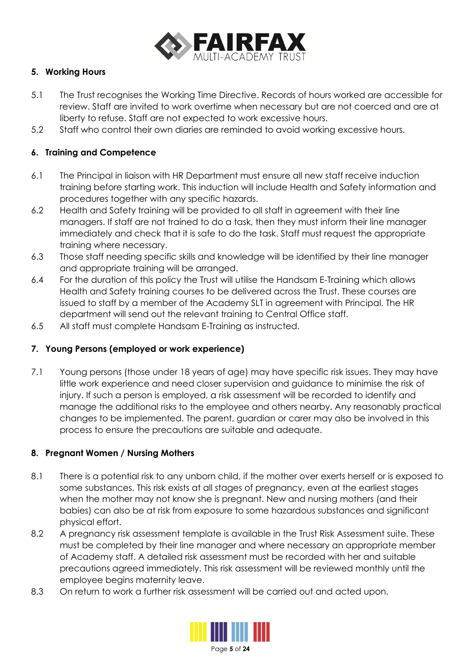

## **5. Working Hours**

- 5.1 The Trust recognises the Working Time Directive. Records of hours worked are accessible for review. Staff are invited to work overtime when necessary but are not coerced and are at liberty to refuse. Staff are not expected to work excessive hours.
- 5.2 Staff who control their own diaries are reminded to avoid working excessive hours.

## **6. Training and Competence**

- 6.1 The Principal in liaison with HR Department must ensure all new staff receive induction training before starting work. This induction will include Health and Safety information and procedures together with any specific hazards.
- 6.2 Health and Safety training will be provided to all staff in agreement with their line managers. If staff are not trained to do a task, then they must inform their line manager immediately and check that it is safe to do the task. Staff must request the appropriate training where necessary.
- 6.3 Those staff needing specific skills and knowledge will be identified by their line manager and appropriate training will be arranged.
- 6.4 For the duration of this policy the Trust will utilise the Handsam E-Training which allows Health and Safety training courses to be delivered across the Trust. These courses are issued to staff by a member of the Academy SLT in agreement with Principal. The HR department will send out the relevant training to Central Office staff.
- 6.5 All staff must complete Handsam E-Training as instructed.

## **7. Young Persons (employed or work experience)**

7.1 Young persons (those under 18 years of age) may have specific risk issues. They may have little work experience and need closer supervision and guidance to minimise the risk of injury. If such a person is employed, a risk assessment will be recorded to identify and manage the additional risks to the employee and others nearby. Any reasonably practical changes to be implemented. The parent, guardian or carer may also be involved in this process to ensure the precautions are suitable and adequate.

## **8. Pregnant Women / Nursing Mothers**

- 8.1 There is a potential risk to any unborn child, if the mother over exerts herself or is exposed to some substances. This risk exists at all stages of pregnancy, even at the earliest stages when the mother may not know she is pregnant. New and nursing mothers (and their babies) can also be at risk from exposure to some hazardous substances and significant physical effort.
- 8.2 A pregnancy risk assessment template is available in the Trust Risk Assessment suite. These must be completed by their line manager and where necessary an appropriate member of Academy staff. A detailed risk assessment must be recorded with her and suitable precautions agreed immediately. This risk assessment will be reviewed monthly until the employee begins maternity leave.
- 8.3 On return to work a further risk assessment will be carried out and acted upon.

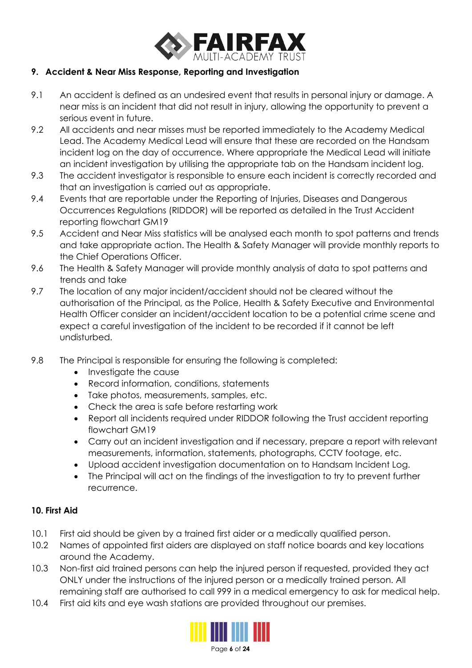

## **9. Accident & Near Miss Response, Reporting and Investigation**

- 9.1 An accident is defined as an undesired event that results in personal injury or damage. A near miss is an incident that did not result in injury, allowing the opportunity to prevent a serious event in future.
- 9.2 All accidents and near misses must be reported immediately to the Academy Medical Lead. The Academy Medical Lead will ensure that these are recorded on the Handsam incident log on the day of occurrence. Where appropriate the Medical Lead will initiate an incident investigation by utilising the appropriate tab on the Handsam incident log.
- 9.3 The accident investigator is responsible to ensure each incident is correctly recorded and that an investigation is carried out as appropriate.
- 9.4 Events that are reportable under the Reporting of Injuries, Diseases and Dangerous Occurrences Regulations (RIDDOR) will be reported as detailed in the Trust Accident reporting flowchart GM19
- 9.5 Accident and Near Miss statistics will be analysed each month to spot patterns and trends and take appropriate action. The Health & Safety Manager will provide monthly reports to the Chief Operations Officer.
- 9.6 The Health & Safety Manager will provide monthly analysis of data to spot patterns and trends and take
- 9.7 The location of any major incident/accident should not be cleared without the authorisation of the Principal, as the Police, Health & Safety Executive and Environmental Health Officer consider an incident/accident location to be a potential crime scene and expect a careful investigation of the incident to be recorded if it cannot be left undisturbed.
- 9.8 The Principal is responsible for ensuring the following is completed:
	- Investigate the cause
	- Record information, conditions, statements
	- Take photos, measurements, samples, etc.
	- Check the area is safe before restarting work
	- Report all incidents required under RIDDOR following the Trust accident reporting flowchart GM19
	- Carry out an incident investigation and if necessary, prepare a report with relevant measurements, information, statements, photographs, CCTV footage, etc.
	- Upload accident investigation documentation on to Handsam Incident Log.
	- The Principal will act on the findings of the investigation to try to prevent further recurrence.

## **10. First Aid**

- 10.1 First aid should be given by a trained first aider or a medically qualified person.
- 10.2 Names of appointed first aiders are displayed on staff notice boards and key locations around the Academy.
- 10.3 Non-first aid trained persons can help the injured person if requested, provided they act ONLY under the instructions of the injured person or a medically trained person. All remaining staff are authorised to call 999 in a medical emergency to ask for medical help.
- 10.4 First aid kits and eye wash stations are provided throughout our premises.

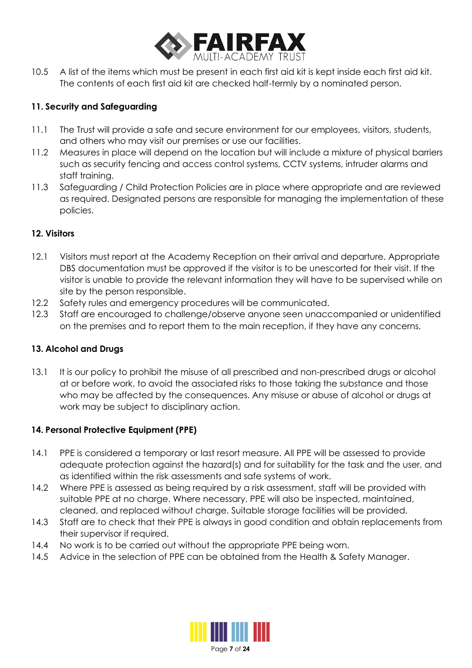

10.5 A list of the items which must be present in each first aid kit is kept inside each first aid kit. The contents of each first aid kit are checked half-termly by a nominated person.

# **11. Security and Safeguarding**

- 11.1 The Trust will provide a safe and secure environment for our employees, visitors, students, and others who may visit our premises or use our facilities.
- 11.2 Measures in place will depend on the location but will include a mixture of physical barriers such as security fencing and access control systems, CCTV systems, intruder alarms and staff training.
- 11.3 Safeguarding / Child Protection Policies are in place where appropriate and are reviewed as required. Designated persons are responsible for managing the implementation of these policies.

# **12. Visitors**

- 12.1 Visitors must report at the Academy Reception on their arrival and departure. Appropriate DBS documentation must be approved if the visitor is to be unescorted for their visit. If the visitor is unable to provide the relevant information they will have to be supervised while on site by the person responsible.
- 12.2 Safety rules and emergency procedures will be communicated.
- 12.3 Staff are encouraged to challenge/observe anyone seen unaccompanied or unidentified on the premises and to report them to the main reception, if they have any concerns.

# **13. Alcohol and Drugs**

13.1 It is our policy to prohibit the misuse of all prescribed and non-prescribed drugs or alcohol at or before work, to avoid the associated risks to those taking the substance and those who may be affected by the consequences. Any misuse or abuse of alcohol or drugs at work may be subject to disciplinary action.

# **14. Personal Protective Equipment (PPE)**

- 14.1 PPE is considered a temporary or last resort measure. All PPE will be assessed to provide adequate protection against the hazard(s) and for suitability for the task and the user, and as identified within the risk assessments and safe systems of work.
- 14.2 Where PPE is assessed as being required by a risk assessment, staff will be provided with suitable PPE at no charge. Where necessary, PPE will also be inspected, maintained, cleaned, and replaced without charge. Suitable storage facilities will be provided.
- 14.3 Staff are to check that their PPE is always in good condition and obtain replacements from their supervisor if required.
- 14.4 No work is to be carried out without the appropriate PPE being worn.
- 14.5 Advice in the selection of PPE can be obtained from the Health & Safety Manager.

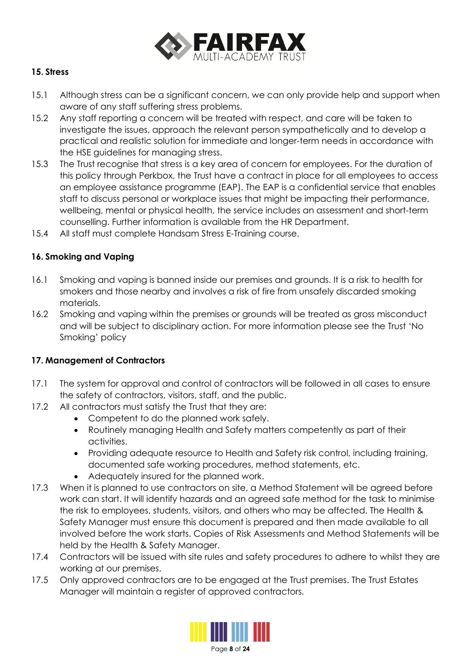

## **15. Stress**

- 15.1 Although stress can be a significant concern, we can only provide help and support when aware of any staff suffering stress problems.
- 15.2 Any staff reporting a concern will be treated with respect, and care will be taken to investigate the issues, approach the relevant person sympathetically and to develop a practical and realistic solution for immediate and longer-term needs in accordance with the HSE guidelines for managing stress.
- 15.3 The Trust recognise that stress is a key area of concern for employees. For the duration of this policy through Perkbox, the Trust have a contract in place for all employees to access an employee assistance programme (EAP). The EAP is a confidential service that enables staff to discuss personal or workplace issues that might be impacting their performance, wellbeing, mental or physical health, the service includes an assessment and short-term counselling. Further information is available from the HR Department.
- 15.4 All staff must complete Handsam Stress E-Training course.

## **16. Smoking and Vaping**

- 16.1 Smoking and vaping is banned inside our premises and grounds. It is a risk to health for smokers and those nearby and involves a risk of fire from unsafely discarded smoking materials.
- 16.2 Smoking and vaping within the premises or grounds will be treated as gross misconduct and will be subject to disciplinary action. For more information please see the Trust 'No Smoking' policy

## **17. Management of Contractors**

- 17.1 The system for approval and control of contractors will be followed in all cases to ensure the safety of contractors, visitors, staff, and the public.
- 17.2 All contractors must satisfy the Trust that they are:
	- Competent to do the planned work safely.
	- Routinely managing Health and Safety matters competently as part of their activities.
	- Providing adequate resource to Health and Safety risk control, including training, documented safe working procedures, method statements, etc.
	- Adequately insured for the planned work.
- 17.3 When it is planned to use contractors on site, a Method Statement will be agreed before work can start. It will identify hazards and an agreed safe method for the task to minimise the risk to employees, students, visitors, and others who may be affected. The Health & Safety Manager must ensure this document is prepared and then made available to all involved before the work starts. Copies of Risk Assessments and Method Statements will be held by the Health & Safety Manager.
- 17.4 Contractors will be issued with site rules and safety procedures to adhere to whilst they are working at our premises.
- 17.5 Only approved contractors are to be engaged at the Trust premises. The Trust Estates Manager will maintain a register of approved contractors.



Page **8** of **24**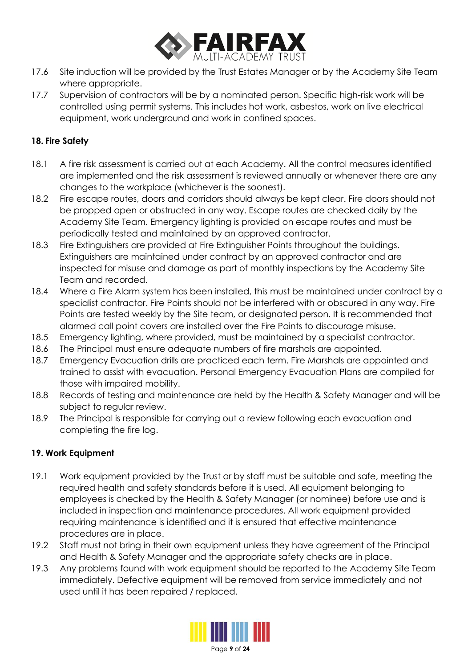

- 17.6 Site induction will be provided by the Trust Estates Manager or by the Academy Site Team where appropriate.
- 17.7 Supervision of contractors will be by a nominated person. Specific high-risk work will be controlled using permit systems. This includes hot work, asbestos, work on live electrical equipment, work underground and work in confined spaces.

## **18. Fire Safety**

- 18.1 A fire risk assessment is carried out at each Academy. All the control measures identified are implemented and the risk assessment is reviewed annually or whenever there are any changes to the workplace (whichever is the soonest).
- 18.2 Fire escape routes, doors and corridors should always be kept clear. Fire doors should not be propped open or obstructed in any way. Escape routes are checked daily by the Academy Site Team. Emergency lighting is provided on escape routes and must be periodically tested and maintained by an approved contractor.
- 18.3 Fire Extinguishers are provided at Fire Extinguisher Points throughout the buildings. Extinguishers are maintained under contract by an approved contractor and are inspected for misuse and damage as part of monthly inspections by the Academy Site Team and recorded.
- 18.4 Where a Fire Alarm system has been installed, this must be maintained under contract by a specialist contractor. Fire Points should not be interfered with or obscured in any way. Fire Points are tested weekly by the Site team, or designated person. It is recommended that alarmed call point covers are installed over the Fire Points to discourage misuse.
- 18.5 Emergency lighting, where provided, must be maintained by a specialist contractor.
- 18.6 The Principal must ensure adequate numbers of fire marshals are appointed.
- 18.7 Emergency Evacuation drills are practiced each term. Fire Marshals are appointed and trained to assist with evacuation. Personal Emergency Evacuation Plans are compiled for those with impaired mobility.
- 18.8 Records of testing and maintenance are held by the Health & Safety Manager and will be subject to regular review.
- 18.9 The Principal is responsible for carrying out a review following each evacuation and completing the fire log.

## **19. Work Equipment**

- 19.1 Work equipment provided by the Trust or by staff must be suitable and safe, meeting the required health and safety standards before it is used. All equipment belonging to employees is checked by the Health & Safety Manager (or nominee) before use and is included in inspection and maintenance procedures. All work equipment provided requiring maintenance is identified and it is ensured that effective maintenance procedures are in place.
- 19.2 Staff must not bring in their own equipment unless they have agreement of the Principal and Health & Safety Manager and the appropriate safety checks are in place.
- 19.3 Any problems found with work equipment should be reported to the Academy Site Team immediately. Defective equipment will be removed from service immediately and not used until it has been repaired / replaced.

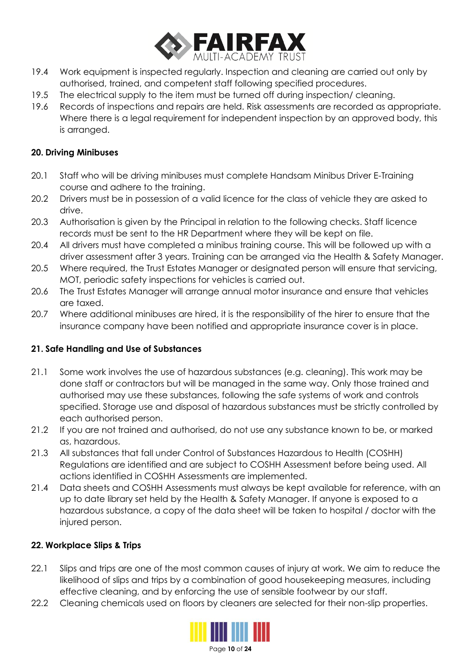

- 19.4 Work equipment is inspected regularly. Inspection and cleaning are carried out only by authorised, trained, and competent staff following specified procedures.
- 19.5 The electrical supply to the item must be turned off during inspection/ cleaning.
- 19.6 Records of inspections and repairs are held. Risk assessments are recorded as appropriate. Where there is a legal requirement for independent inspection by an approved body, this is arranged.

## **20. Driving Minibuses**

- 20.1 Staff who will be driving minibuses must complete Handsam Minibus Driver E-Training course and adhere to the training.
- 20.2 Drivers must be in possession of a valid licence for the class of vehicle they are asked to drive.
- 20.3 Authorisation is given by the Principal in relation to the following checks. Staff licence records must be sent to the HR Department where they will be kept on file.
- 20.4 All drivers must have completed a minibus training course. This will be followed up with a driver assessment after 3 years. Training can be arranged via the Health & Safety Manager.
- 20.5 Where required, the Trust Estates Manager or designated person will ensure that servicing, MOT, periodic safety inspections for vehicles is carried out.
- 20.6 The Trust Estates Manager will arrange annual motor insurance and ensure that vehicles are taxed.
- 20.7 Where additional minibuses are hired, it is the responsibility of the hirer to ensure that the insurance company have been notified and appropriate insurance cover is in place.

# **21. Safe Handling and Use of Substances**

- 21.1 Some work involves the use of hazardous substances (e.g. cleaning). This work may be done staff or contractors but will be managed in the same way. Only those trained and authorised may use these substances, following the safe systems of work and controls specified. Storage use and disposal of hazardous substances must be strictly controlled by each authorised person.
- 21.2 If you are not trained and authorised, do not use any substance known to be, or marked as, hazardous.
- 21.3 All substances that fall under Control of Substances Hazardous to Health (COSHH) Regulations are identified and are subject to COSHH Assessment before being used. All actions identified in COSHH Assessments are implemented.
- 21.4 Data sheets and COSHH Assessments must always be kept available for reference, with an up to date library set held by the Health & Safety Manager. If anyone is exposed to a hazardous substance, a copy of the data sheet will be taken to hospital / doctor with the injured person.

## **22. Workplace Slips & Trips**

- 22.1 Slips and trips are one of the most common causes of injury at work. We aim to reduce the likelihood of slips and trips by a combination of good housekeeping measures, including effective cleaning, and by enforcing the use of sensible footwear by our staff.
- 22.2 Cleaning chemicals used on floors by cleaners are selected for their non-slip properties.

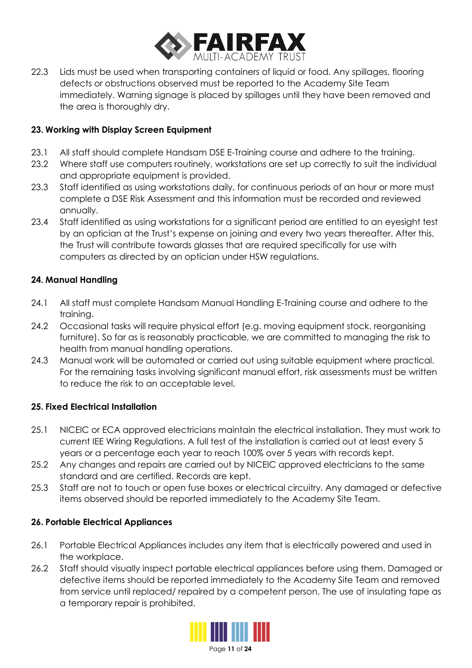

22.3 Lids must be used when transporting containers of liquid or food. Any spillages, flooring defects or obstructions observed must be reported to the Academy Site Team immediately. Warning signage is placed by spillages until they have been removed and the area is thoroughly dry.

## **23. Working with Display Screen Equipment**

- 23.1 All staff should complete Handsam DSE E-Training course and adhere to the training.
- 23.2 Where staff use computers routinely, workstations are set up correctly to suit the individual and appropriate equipment is provided.
- 23.3 Staff identified as using workstations daily, for continuous periods of an hour or more must complete a DSE Risk Assessment and this information must be recorded and reviewed annually.
- 23.4 Staff identified as using workstations for a significant period are entitled to an evesight test by an optician at the Trust's expense on joining and every two years thereafter. After this, the Trust will contribute towards glasses that are required specifically for use with computers as directed by an optician under HSW regulations.

## **24. Manual Handling**

- 24.1 All staff must complete Handsam Manual Handling E-Training course and adhere to the training.
- 24.2 Occasional tasks will require physical effort (e.g. moving equipment stock, reorganising furniture). So far as is reasonably practicable, we are committed to managing the risk to health from manual handling operations.
- 24.3 Manual work will be automated or carried out using suitable equipment where practical. For the remaining tasks involving significant manual effort, risk assessments must be written to reduce the risk to an acceptable level.

## **25. Fixed Electrical Installation**

- 25.1 NICEIC or ECA approved electricians maintain the electrical installation. They must work to current IEE Wiring Regulations. A full test of the installation is carried out at least every 5 years or a percentage each year to reach 100% over 5 years with records kept.
- 25.2 Any changes and repairs are carried out by NICEIC approved electricians to the same standard and are certified. Records are kept.
- 25.3 Staff are not to touch or open fuse boxes or electrical circuitry. Any damaged or defective items observed should be reported immediately to the Academy Site Team.

# **26. Portable Electrical Appliances**

- 26.1 Portable Electrical Appliances includes any item that is electrically powered and used in the workplace.
- 26.2 Staff should visually inspect portable electrical appliances before using them. Damaged or defective items should be reported immediately to the Academy Site Team and removed from service until replaced/ repaired by a competent person. The use of insulating tape as a temporary repair is prohibited.

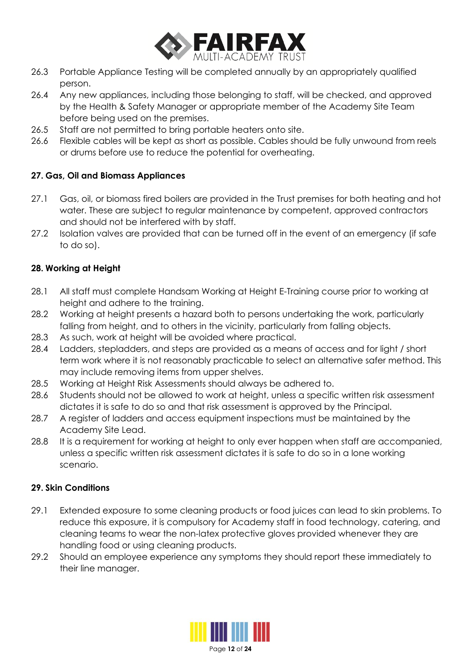

- 26.3 Portable Appliance Testing will be completed annually by an appropriately qualified person.
- 26.4 Any new appliances, including those belonging to staff, will be checked, and approved by the Health & Safety Manager or appropriate member of the Academy Site Team before being used on the premises.
- 26.5 Staff are not permitted to bring portable heaters onto site.
- 26.6 Flexible cables will be kept as short as possible. Cables should be fully unwound from reels or drums before use to reduce the potential for overheating.

## **27. Gas, Oil and Biomass Appliances**

- 27.1 Gas, oil, or biomass fired boilers are provided in the Trust premises for both heating and hot water. These are subject to regular maintenance by competent, approved contractors and should not be interfered with by staff.
- 27.2 Isolation valves are provided that can be turned off in the event of an emergency (if safe to do so).

## **28. Working at Height**

- 28.1 All staff must complete Handsam Working at Height E-Training course prior to working at height and adhere to the training.
- 28.2 Working at height presents a hazard both to persons undertaking the work, particularly falling from height, and to others in the vicinity, particularly from falling objects.
- 28.3 As such, work at height will be avoided where practical.
- 28.4 Ladders, stepladders, and steps are provided as a means of access and for light / short term work where it is not reasonably practicable to select an alternative safer method. This may include removing items from upper shelves.
- 28.5 Working at Height Risk Assessments should always be adhered to.
- 28.6 Students should not be allowed to work at height, unless a specific written risk assessment dictates it is safe to do so and that risk assessment is approved by the Principal.
- 28.7 A register of ladders and access equipment inspections must be maintained by the Academy Site Lead.
- 28.8 It is a requirement for working at height to only ever happen when staff are accompanied, unless a specific written risk assessment dictates it is safe to do so in a lone working scenario.

## **29. Skin Conditions**

- 29.1 Extended exposure to some cleaning products or food juices can lead to skin problems. To reduce this exposure, it is compulsory for Academy staff in food technology, catering, and cleaning teams to wear the non-latex protective gloves provided whenever they are handling food or using cleaning products.
- 29.2 Should an employee experience any symptoms they should report these immediately to their line manager.

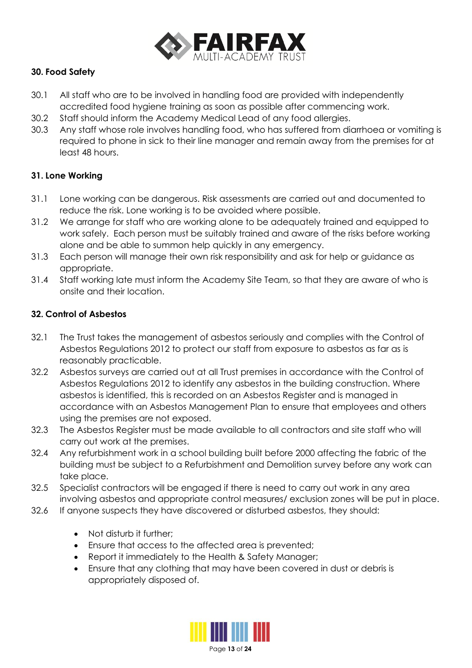

# **30. Food Safety**

- 30.1 All staff who are to be involved in handling food are provided with independently accredited food hygiene training as soon as possible after commencing work.
- 30.2 Staff should inform the Academy Medical Lead of any food allergies.
- 30.3 Any staff whose role involves handling food, who has suffered from diarrhoea or vomiting is required to phone in sick to their line manager and remain away from the premises for at least 48 hours.

## **31. Lone Working**

- 31.1 Lone working can be dangerous. Risk assessments are carried out and documented to reduce the risk. Lone working is to be avoided where possible.
- 31.2 We arrange for staff who are working alone to be adequately trained and equipped to work safely. Each person must be suitably trained and aware of the risks before working alone and be able to summon help quickly in any emergency.
- 31.3 Each person will manage their own risk responsibility and ask for help or guidance as appropriate.
- 31.4 Staff working late must inform the Academy Site Team, so that they are aware of who is onsite and their location.

## **32. Control of Asbestos**

- 32.1 The Trust takes the management of asbestos seriously and complies with the Control of Asbestos Regulations 2012 to protect our staff from exposure to asbestos as far as is reasonably practicable.
- 32.2 Asbestos surveys are carried out at all Trust premises in accordance with the Control of Asbestos Regulations 2012 to identify any asbestos in the building construction. Where asbestos is identified, this is recorded on an Asbestos Register and is managed in accordance with an Asbestos Management Plan to ensure that employees and others using the premises are not exposed.
- 32.3 The Asbestos Register must be made available to all contractors and site staff who will carry out work at the premises.
- 32.4 Any refurbishment work in a school building built before 2000 affecting the fabric of the building must be subject to a Refurbishment and Demolition survey before any work can take place.
- 32.5 Specialist contractors will be engaged if there is need to carry out work in any area involving asbestos and appropriate control measures/ exclusion zones will be put in place.
- 32.6 If anyone suspects they have discovered or disturbed asbestos, they should:
	- Not disturb it further:
	- Ensure that access to the affected area is prevented;
	- Report it immediately to the Health & Safety Manager;
	- Ensure that any clothing that may have been covered in dust or debris is appropriately disposed of.

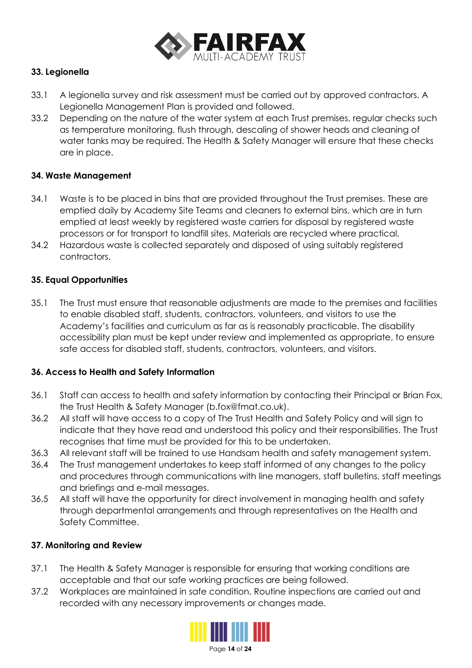

## **33. Legionella**

- 33.1 A legionella survey and risk assessment must be carried out by approved contractors. A Legionella Management Plan is provided and followed.
- 33.2 Depending on the nature of the water system at each Trust premises, regular checks such as temperature monitoring, flush through, descaling of shower heads and cleaning of water tanks may be required. The Health & Safety Manager will ensure that these checks are in place.

## **34. Waste Management**

- 34.1 Waste is to be placed in bins that are provided throughout the Trust premises. These are emptied daily by Academy Site Teams and cleaners to external bins, which are in turn emptied at least weekly by registered waste carriers for disposal by registered waste processors or for transport to landfill sites. Materials are recycled where practical.
- 34.2 Hazardous waste is collected separately and disposed of using suitably registered contractors.

## **35. Equal Opportunities**

35.1 The Trust must ensure that reasonable adjustments are made to the premises and facilities to enable disabled staff, students, contractors, volunteers, and visitors to use the Academy's facilities and curriculum as far as is reasonably practicable. The disability accessibility plan must be kept under review and implemented as appropriate, to ensure safe access for disabled staff, students, contractors, volunteers, and visitors.

## **36. Access to Health and Safety Information**

- 36.1 Staff can access to health and safety information by contacting their Principal or Brian Fox, the Trust Health & Safety Manager (b.fox@fmat.co.uk).
- 36.2 All staff will have access to a copy of The Trust Health and Safety Policy and will sign to indicate that they have read and understood this policy and their responsibilities. The Trust recognises that time must be provided for this to be undertaken.
- 36.3 All relevant staff will be trained to use Handsam health and safety management system.
- 36.4 The Trust management undertakes to keep staff informed of any changes to the policy and procedures through communications with line managers, staff bulletins, staff meetings and briefings and e-mail messages.
- 36.5 All staff will have the opportunity for direct involvement in managing health and safety through departmental arrangements and through representatives on the Health and Safety Committee.

## **37. Monitoring and Review**

- 37.1 The Health & Safety Manager is responsible for ensuring that working conditions are acceptable and that our safe working practices are being followed.
- 37.2 Workplaces are maintained in safe condition. Routine inspections are carried out and recorded with any necessary improvements or changes made.

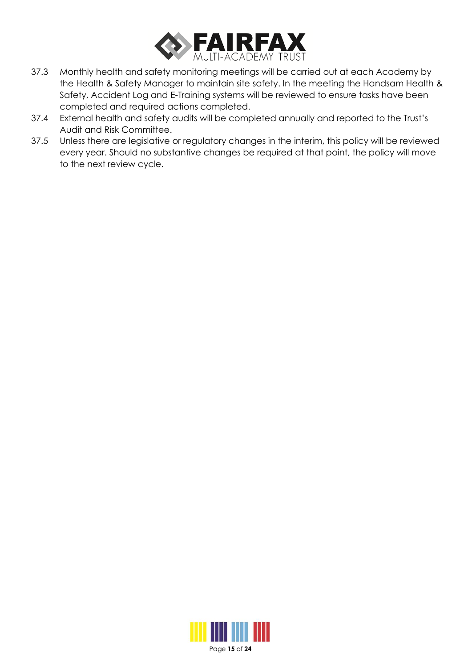

- 37.3 Monthly health and safety monitoring meetings will be carried out at each Academy by the Health & Safety Manager to maintain site safety. In the meeting the Handsam Health & Safety, Accident Log and E-Training systems will be reviewed to ensure tasks have been completed and required actions completed.
- 37.4 External health and safety audits will be completed annually and reported to the Trust's Audit and Risk Committee.
- 37.5 Unless there are legislative or regulatory changes in the interim, this policy will be reviewed every year. Should no substantive changes be required at that point, the policy will move to the next review cycle.



Page **15** of **24**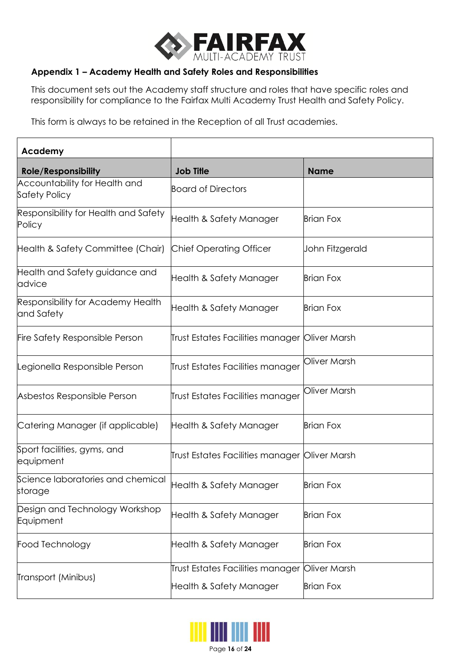

## **Appendix 1 – Academy Health and Safety Roles and Responsibilities**

This document sets out the Academy staff structure and roles that have specific roles and responsibility for compliance to the Fairfax Multi Academy Trust Health and Safety Policy.

This form is always to be retained in the Reception of all Trust academies.

| Academy                                         |                                                |                  |
|-------------------------------------------------|------------------------------------------------|------------------|
| <b>Role/Responsibility</b>                      | <b>Job Title</b>                               | <b>Name</b>      |
| Accountability for Health and<br>Safety Policy  | <b>Board of Directors</b>                      |                  |
| Responsibility for Health and Safety<br>Policy  | Health & Safety Manager                        | <b>Brian Fox</b> |
| Health & Safety Committee (Chair)               | <b>Chief Operating Officer</b>                 | John Fitzgerald  |
| Health and Safety guidance and<br>advice        | Health & Safety Manager                        | <b>Brian Fox</b> |
| Responsibility for Academy Health<br>and Safety | Health & Safety Manager                        | <b>Brian Fox</b> |
| <b>Fire Safety Responsible Person</b>           | Trust Estates Facilities manager Oliver Marsh  |                  |
| Legionella Responsible Person                   | Trust Estates Facilities manager               | Oliver Marsh     |
| Asbestos Responsible Person                     | Trust Estates Facilities manager               | Oliver Marsh     |
| Catering Manager (if applicable)                | Health & Safety Manager                        | <b>Brian Fox</b> |
| Sport facilities, gyms, and<br>equipment        | Trust Estates Facilities manager  Oliver Marsh |                  |
| Science laboratories and chemical<br>storage    | Health & Safety Manager                        | <b>Brian Fox</b> |
| Design and Technology Workshop<br>Equipment     | Health & Safety Manager                        | <b>Brian Fox</b> |
| Food Technology                                 | Health & Safety Manager                        | <b>Brian Fox</b> |
| Transport (Minibus)                             | Trust Estates Facilities manager               | Oliver Marsh     |
|                                                 | Health & Safety Manager                        | <b>Brian Fox</b> |

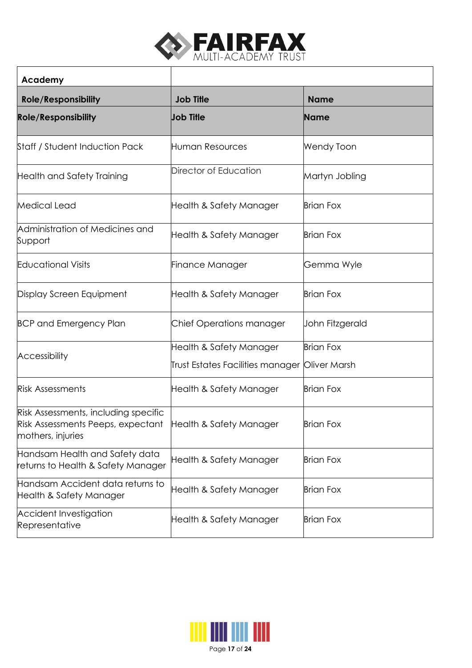

٦

 $\overline{\phantom{a}}$ 

| Academy                                                                                        |                                  |                   |
|------------------------------------------------------------------------------------------------|----------------------------------|-------------------|
| <b>Role/Responsibility</b>                                                                     | <b>Job Title</b>                 | <b>Name</b>       |
| <b>Role/Responsibility</b>                                                                     | <b>Job Title</b>                 | <b>Name</b>       |
| Staff / Student Induction Pack                                                                 | Human Resources                  | <b>Wendy Toon</b> |
| <b>Health and Safety Training</b>                                                              | Director of Education            | Martyn Jobling    |
| Medical Lead                                                                                   | Health & Safety Manager          | <b>Brian Fox</b>  |
| Administration of Medicines and<br>Support                                                     | Health & Safety Manager          | <b>Brian Fox</b>  |
| <b>Educational Visits</b>                                                                      | Finance Manager                  | Gemma Wyle        |
| Display Screen Equipment                                                                       | Health & Safety Manager          | <b>Brian Fox</b>  |
| <b>BCP and Emergency Plan</b>                                                                  | Chief Operations manager         | John Fitzgerald   |
| <b>Accessibility</b>                                                                           | Health & Safety Manager          | <b>Brian Fox</b>  |
|                                                                                                | Trust Estates Facilities manager | Oliver Marsh      |
| <b>Risk Assessments</b>                                                                        | Health & Safety Manager          | <b>Brian Fox</b>  |
| Risk Assessments, including specific<br>Risk Assessments Peeps, expectant<br>mothers, injuries | Health & Safety Manager          | Brian Fox         |
| Handsam Health and Safety data<br>returns to Health & Safety Manager                           | Health & Safety Manager          | <b>Brian Fox</b>  |
| Handsam Accident data returns to<br>Health & Safety Manager                                    | Health & Safety Manager          | <b>Brian Fox</b>  |
| <b>Accident Investigation</b><br>Representative                                                | Health & Safety Manager          | <b>Brian Fox</b>  |

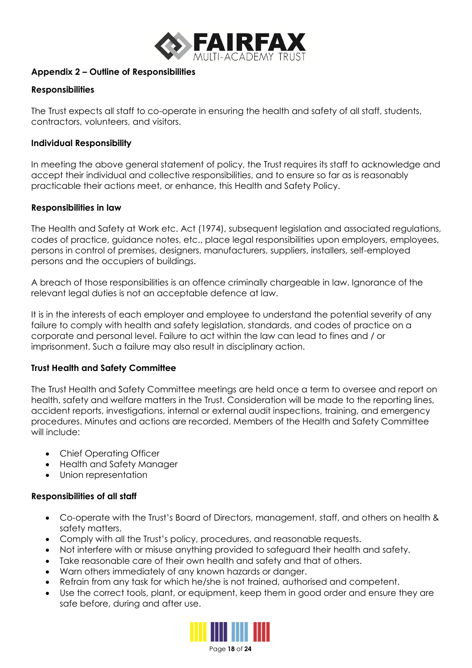

## **Appendix 2 – Outline of Responsibilities**

## **Responsibilities**

The Trust expects all staff to co-operate in ensuring the health and safety of all staff, students, contractors, volunteers, and visitors.

#### **Individual Responsibility**

In meeting the above general statement of policy, the Trust requires its staff to acknowledge and accept their individual and collective responsibilities, and to ensure so far as is reasonably practicable their actions meet, or enhance, this Health and Safety Policy.

#### **Responsibilities in law**

The Health and Safety at Work etc. Act (1974), subsequent legislation and associated regulations, codes of practice, guidance notes, etc., place legal responsibilities upon employers, employees, persons in control of premises, designers, manufacturers, suppliers, installers, self-employed persons and the occupiers of buildings.

A breach of those responsibilities is an offence criminally chargeable in law. Ignorance of the relevant legal duties is not an acceptable defence at law.

It is in the interests of each employer and employee to understand the potential severity of any failure to comply with health and safety legislation, standards, and codes of practice on a corporate and personal level. Failure to act within the law can lead to fines and / or imprisonment. Such a failure may also result in disciplinary action.

## **Trust Health and Safety Committee**

The Trust Health and Safety Committee meetings are held once a term to oversee and report on health, safety and welfare matters in the Trust. Consideration will be made to the reporting lines, accident reports, investigations, internal or external audit inspections, training, and emergency procedures. Minutes and actions are recorded. Members of the Health and Safety Committee will include:

- Chief Operating Officer
- Health and Safety Manager
- Union representation

## **Responsibilities of all staff**

- Co-operate with the Trust's Board of Directors, management, staff, and others on health & safety matters.
- Comply with all the Trust's policy, procedures, and reasonable requests.
- Not interfere with or misuse anything provided to safeguard their health and safety.
- Take reasonable care of their own health and safety and that of others.
- Warn others immediately of any known hazards or danger.
- Refrain from any task for which he/she is not trained, authorised and competent.
- Use the correct tools, plant, or equipment, keep them in good order and ensure they are safe before, during and after use.

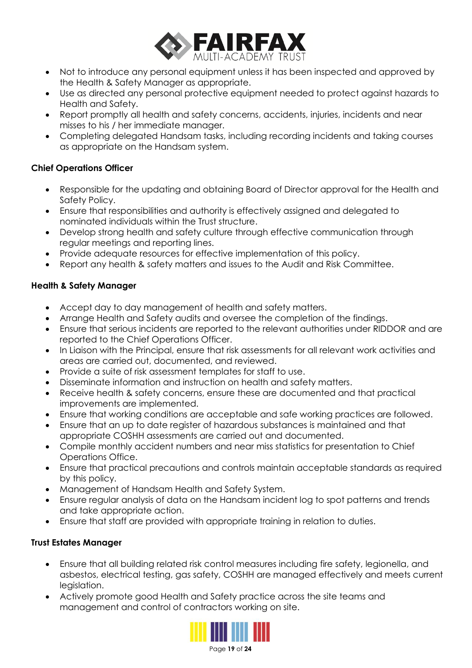

- Not to introduce any personal equipment unless it has been inspected and approved by the Health & Safety Manager as appropriate.
- Use as directed any personal protective equipment needed to protect against hazards to Health and Safety.
- Report promptly all health and safety concerns, accidents, injuries, incidents and near misses to his / her immediate manager.
- Completing delegated Handsam tasks, including recording incidents and taking courses as appropriate on the Handsam system.

## **Chief Operations Officer**

- Responsible for the updating and obtaining Board of Director approval for the Health and Safety Policy.
- Ensure that responsibilities and authority is effectively assigned and delegated to nominated individuals within the Trust structure.
- Develop strong health and safety culture through effective communication through regular meetings and reporting lines.
- Provide adequate resources for effective implementation of this policy.
- Report any health & safety matters and issues to the Audit and Risk Committee.

## **Health & Safety Manager**

- Accept day to day management of health and safety matters.
- Arrange Health and Safety audits and oversee the completion of the findings.
- Ensure that serious incidents are reported to the relevant authorities under RIDDOR and are reported to the Chief Operations Officer.
- In Liaison with the Principal, ensure that risk assessments for all relevant work activities and areas are carried out, documented, and reviewed.
- Provide a suite of risk assessment templates for staff to use.
- Disseminate information and instruction on health and safety matters.
- Receive health & safety concerns, ensure these are documented and that practical improvements are implemented.
- Ensure that working conditions are acceptable and safe working practices are followed.
- Ensure that an up to date register of hazardous substances is maintained and that appropriate COSHH assessments are carried out and documented.
- Compile monthly accident numbers and near miss statistics for presentation to Chief Operations Office.
- Ensure that practical precautions and controls maintain acceptable standards as required by this policy.
- Management of Handsam Health and Safety System.
- Ensure regular analysis of data on the Handsam incident log to spot patterns and trends and take appropriate action.
- Ensure that staff are provided with appropriate training in relation to duties.

## **Trust Estates Manager**

- Ensure that all building related risk control measures including fire safety, legionella, and asbestos, electrical testing, gas safety, COSHH are managed effectively and meets current legislation.
- Actively promote good Health and Safety practice across the site teams and management and control of contractors working on site.



Page **19** of **24**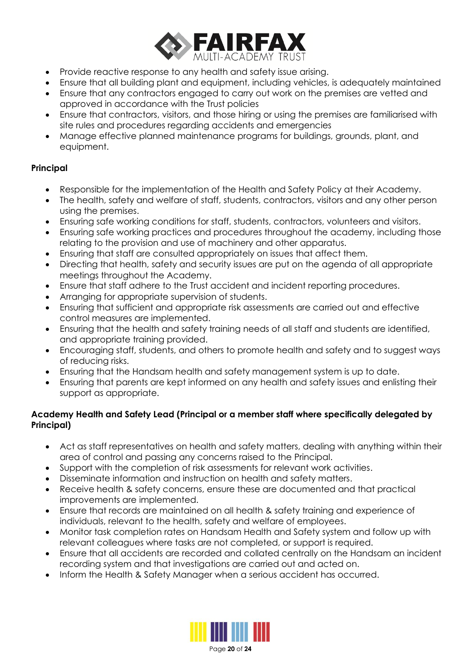

- Provide reactive response to any health and safety issue arising.
- Ensure that all building plant and equipment, including vehicles, is adequately maintained
- Ensure that any contractors engaged to carry out work on the premises are vetted and approved in accordance with the Trust policies
- Ensure that contractors, visitors, and those hiring or using the premises are familiarised with site rules and procedures regarding accidents and emergencies
- Manage effective planned maintenance programs for buildings, grounds, plant, and equipment.

## **Principal**

- Responsible for the implementation of the Health and Safety Policy at their Academy.
- The health, safety and welfare of staff, students, contractors, visitors and any other person using the premises.
- Ensuring safe working conditions for staff, students, contractors, volunteers and visitors.
- Ensuring safe working practices and procedures throughout the academy, including those relating to the provision and use of machinery and other apparatus.
- Ensuring that staff are consulted appropriately on issues that affect them.
- Directing that health, safety and security issues are put on the agenda of all appropriate meetings throughout the Academy.
- Ensure that staff adhere to the Trust accident and incident reporting procedures.
- Arranging for appropriate supervision of students.
- Ensuring that sufficient and appropriate risk assessments are carried out and effective control measures are implemented.
- Ensuring that the health and safety training needs of all staff and students are identified, and appropriate training provided.
- Encouraging staff, students, and others to promote health and safety and to suggest ways of reducing risks.
- Ensuring that the Handsam health and safety management system is up to date.
- Ensuring that parents are kept informed on any health and safety issues and enlisting their support as appropriate.

## **Academy Health and Safety Lead (Principal or a member staff where specifically delegated by Principal)**

- Act as staff representatives on health and safety matters, dealing with anything within their area of control and passing any concerns raised to the Principal.
- Support with the completion of risk assessments for relevant work activities.
- Disseminate information and instruction on health and safety matters.
- Receive health & safety concerns, ensure these are documented and that practical improvements are implemented.
- Ensure that records are maintained on all health & safety training and experience of individuals, relevant to the health, safety and welfare of employees.
- Monitor task completion rates on Handsam Health and Safety system and follow up with relevant colleagues where tasks are not completed, or support is required.
- Ensure that all accidents are recorded and collated centrally on the Handsam an incident recording system and that investigations are carried out and acted on.
- Inform the Health & Safety Manager when a serious accident has occurred.

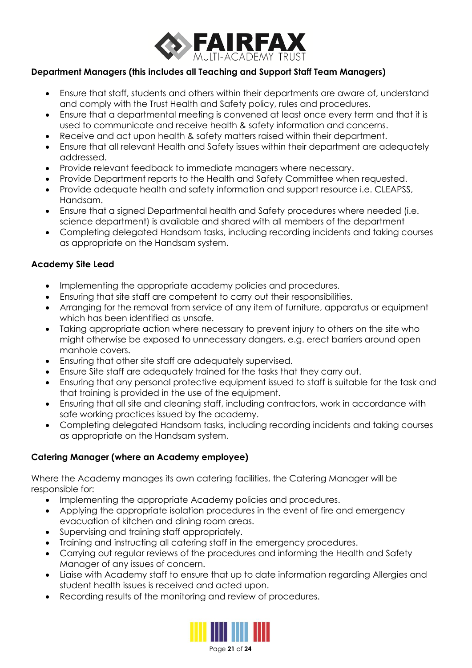

## **Department Managers (this includes all Teaching and Support Staff Team Managers)**

- Ensure that staff, students and others within their departments are aware of, understand and comply with the Trust Health and Safety policy, rules and procedures.
- Ensure that a departmental meeting is convened at least once every term and that it is used to communicate and receive health & safety information and concerns.
- Receive and act upon health & safety matters raised within their department.
- Ensure that all relevant Health and Safety issues within their department are adequately addressed.
- Provide relevant feedback to immediate managers where necessary.
- Provide Department reports to the Health and Safety Committee when requested.
- Provide adequate health and safety information and support resource i.e. CLEAPSS, Handsam.
- Ensure that a signed Departmental health and Safety procedures where needed (i.e. science department) is available and shared with all members of the department
- Completing delegated Handsam tasks, including recording incidents and taking courses as appropriate on the Handsam system.

## **Academy Site Lead**

- Implementing the appropriate academy policies and procedures.
- Ensuring that site staff are competent to carry out their responsibilities.
- Arranging for the removal from service of any item of furniture, apparatus or equipment which has been identified as unsafe.
- Taking appropriate action where necessary to prevent injury to others on the site who might otherwise be exposed to unnecessary dangers, e.g. erect barriers around open manhole covers.
- Ensuring that other site staff are adequately supervised.
- Ensure Site staff are adequately trained for the tasks that they carry out.
- Ensuring that any personal protective equipment issued to staff is suitable for the task and that training is provided in the use of the equipment.
- Ensuring that all site and cleaning staff, including contractors, work in accordance with safe working practices issued by the academy.
- Completing delegated Handsam tasks, including recording incidents and taking courses as appropriate on the Handsam system.

## **Catering Manager (where an Academy employee)**

Where the Academy manages its own catering facilities, the Catering Manager will be responsible for:

- Implementing the appropriate Academy policies and procedures.
- Applying the appropriate isolation procedures in the event of fire and emergency evacuation of kitchen and dining room areas.
- Supervising and training staff appropriately.
- Training and instructing all catering staff in the emergency procedures.
- Carrying out regular reviews of the procedures and informing the Health and Safety Manager of any issues of concern.
- Liaise with Academy staff to ensure that up to date information regarding Allergies and student health issues is received and acted upon.
- Recording results of the monitoring and review of procedures.

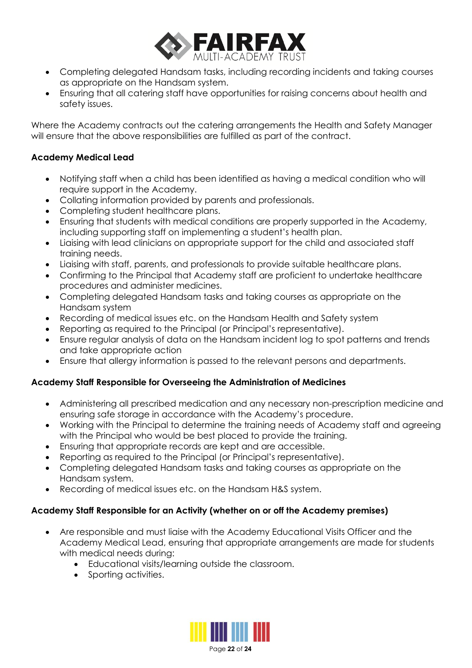

- Completing delegated Handsam tasks, including recording incidents and taking courses as appropriate on the Handsam system.
- Ensuring that all catering staff have opportunities for raising concerns about health and safety issues.

Where the Academy contracts out the catering arrangements the Health and Safety Manager will ensure that the above responsibilities are fulfilled as part of the contract.

## **Academy Medical Lead**

- Notifying staff when a child has been identified as having a medical condition who will require support in the Academy.
- Collating information provided by parents and professionals.
- Completing student healthcare plans.
- Ensuring that students with medical conditions are properly supported in the Academy, including supporting staff on implementing a student's health plan.
- Liaising with lead clinicians on appropriate support for the child and associated staff training needs.
- Liaising with staff, parents, and professionals to provide suitable healthcare plans.
- Confirming to the Principal that Academy staff are proficient to undertake healthcare procedures and administer medicines.
- Completing delegated Handsam tasks and taking courses as appropriate on the Handsam system
- Recording of medical issues etc. on the Handsam Health and Safety system
- Reporting as required to the Principal (or Principal's representative).
- Ensure regular analysis of data on the Handsam incident log to spot patterns and trends and take appropriate action
- Ensure that allergy information is passed to the relevant persons and departments.

## **Academy Staff Responsible for Overseeing the Administration of Medicines**

- Administering all prescribed medication and any necessary non-prescription medicine and ensuring safe storage in accordance with the Academy's procedure.
- Working with the Principal to determine the training needs of Academy staff and agreeing with the Principal who would be best placed to provide the training.
- Ensuring that appropriate records are kept and are accessible.
- Reporting as required to the Principal (or Principal's representative).
- Completing delegated Handsam tasks and taking courses as appropriate on the Handsam system.
- Recording of medical issues etc. on the Handsam H&S system.

## **Academy Staff Responsible for an Activity (whether on or off the Academy premises)**

- Are responsible and must liaise with the Academy Educational Visits Officer and the Academy Medical Lead, ensuring that appropriate arrangements are made for students with medical needs during:
	- Educational visits/learning outside the classroom.
	- Sporting activities.

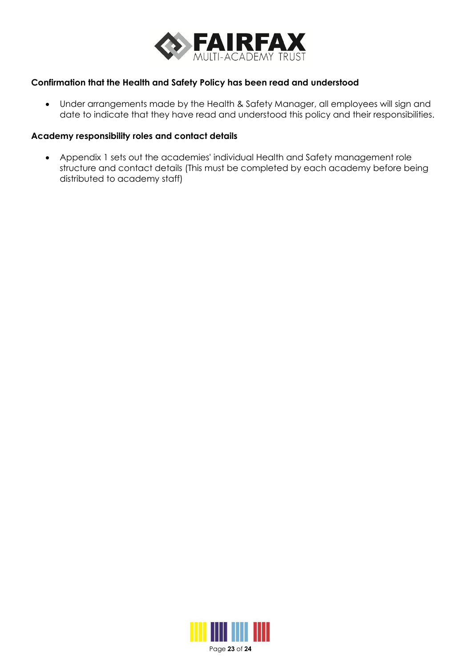

#### **Confirmation that the Health and Safety Policy has been read and understood**

• Under arrangements made by the Health & Safety Manager, all employees will sign and date to indicate that they have read and understood this policy and their responsibilities.

#### **Academy responsibility roles and contact details**

• Appendix 1 sets out the academies' individual Health and Safety management role structure and contact details (This must be completed by each academy before being distributed to academy staff)



Page **23** of **24**